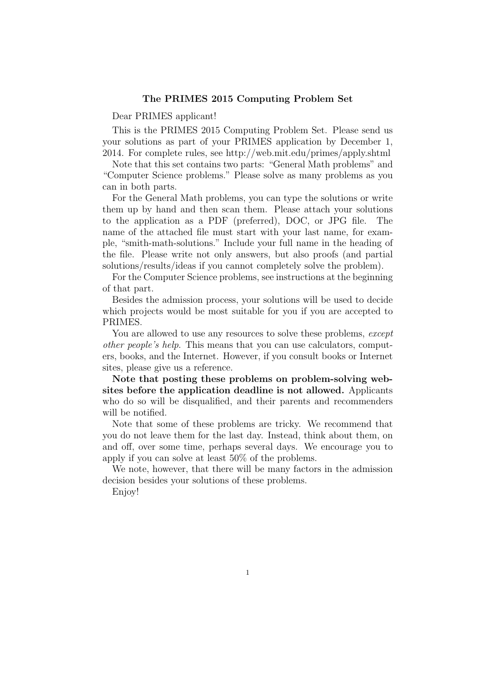## The PRIMES 2015 Computing Problem Set

Dear PRIMES applicant!

This is the PRIMES 2015 Computing Problem Set. Please send us your solutions as part of your PRIMES application by December 1, 2014. For complete rules, see http://web.mit.edu/primes/apply.shtml

Note that this set contains two parts: "General Math problems" and "Computer Science problems." Please solve as many problems as you can in both parts.

For the General Math problems, you can type the solutions or write them up by hand and then scan them. Please attach your solutions to the application as a PDF (preferred), DOC, or JPG file. The name of the attached file must start with your last name, for example, "smith-math-solutions." Include your full name in the heading of the file. Please write not only answers, but also proofs (and partial solutions/results/ideas if you cannot completely solve the problem).

For the Computer Science problems, see instructions at the beginning of that part.

Besides the admission process, your solutions will be used to decide which projects would be most suitable for you if you are accepted to PRIMES.

You are allowed to use any resources to solve these problems, except other people's help. This means that you can use calculators, computers, books, and the Internet. However, if you consult books or Internet sites, please give us a reference.

Note that posting these problems on problem-solving websites before the application deadline is not allowed. Applicants who do so will be disqualified, and their parents and recommenders will be notified.

Note that some of these problems are tricky. We recommend that you do not leave them for the last day. Instead, think about them, on and off, over some time, perhaps several days. We encourage you to apply if you can solve at least 50% of the problems.

We note, however, that there will be many factors in the admission decision besides your solutions of these problems.

Enjoy!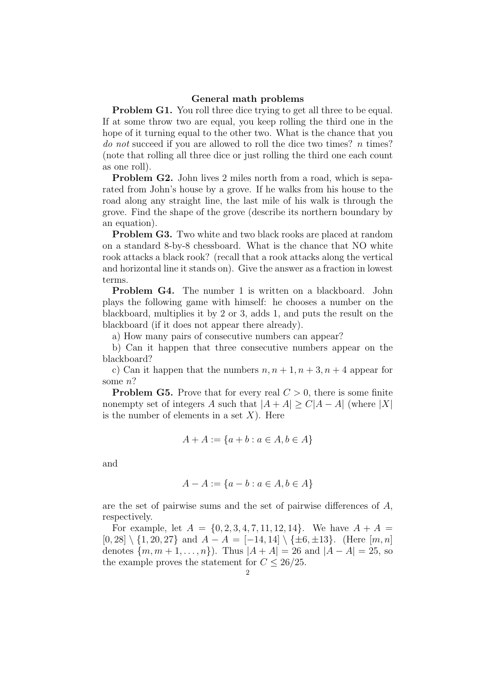## General math problems

**Problem G1.** You roll three dice trying to get all three to be equal. If at some throw two are equal, you keep rolling the third one in the hope of it turning equal to the other two. What is the chance that you do not succeed if you are allowed to roll the dice two times? n times? (note that rolling all three dice or just rolling the third one each count as one roll).

Problem G2. John lives 2 miles north from a road, which is separated from John's house by a grove. If he walks from his house to the road along any straight line, the last mile of his walk is through the grove. Find the shape of the grove (describe its northern boundary by an equation).

Problem G3. Two white and two black rooks are placed at random on a standard 8-by-8 chessboard. What is the chance that NO white rook attacks a black rook? (recall that a rook attacks along the vertical and horizontal line it stands on). Give the answer as a fraction in lowest terms.

Problem G4. The number 1 is written on a blackboard. John plays the following game with himself: he chooses a number on the blackboard, multiplies it by 2 or 3, adds 1, and puts the result on the blackboard (if it does not appear there already).

a) How many pairs of consecutive numbers can appear?

b) Can it happen that three consecutive numbers appear on the blackboard?

c) Can it happen that the numbers  $n, n+1, n+3, n+4$  appear for some n?

**Problem G5.** Prove that for every real  $C > 0$ , there is some finite nonempty set of integers A such that  $|A + A| \ge C|A - A|$  (where |X| is the number of elements in a set  $X$ ). Here

$$
A + A := \{a + b : a \in A, b \in A\}
$$

and

$$
A - A := \{a - b : a \in A, b \in A\}
$$

are the set of pairwise sums and the set of pairwise differences of A, respectively.

For example, let  $A = \{0, 2, 3, 4, 7, 11, 12, 14\}$ . We have  $A + A =$  $[0, 28] \setminus \{1, 20, 27\}$  and  $A - A = [-14, 14] \setminus \{\pm 6, \pm 13\}.$  (Here  $[m, n]$ ) denotes  $\{m, m+1, \ldots, n\}$ . Thus  $|A + A| = 26$  and  $|A - A| = 25$ , so the example proves the statement for  $C \leq 26/25$ .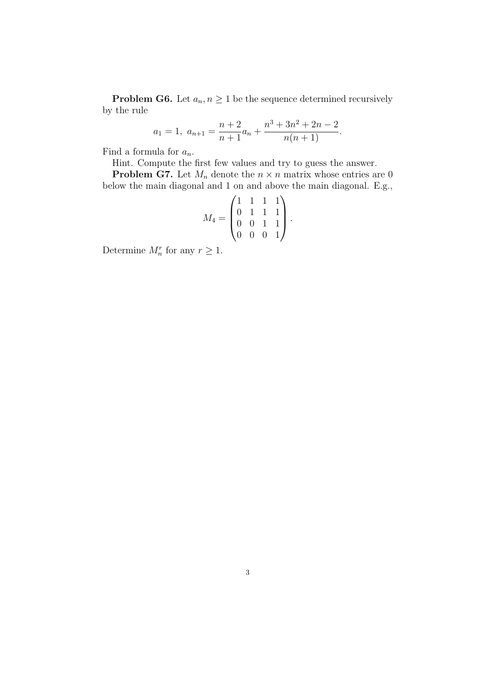**Problem G6.** Let  $a_n, n \geq 1$  be the sequence determined recursively by the rule

$$
a_1 = 1, \ a_{n+1} = \frac{n+2}{n+1}a_n + \frac{n^3 + 3n^2 + 2n - 2}{n(n+1)}.
$$

Find a formula for  $a_n$ .

Hint. Compute the first few values and try to guess the answer.

**Problem G7.** Let  $M_n$  denote the  $n \times n$  matrix whose entries are 0 below the main diagonal and 1 on and above the main diagonal. E.g.,

$$
M_4 = \begin{pmatrix} 1 & 1 & 1 & 1 \\ 0 & 1 & 1 & 1 \\ 0 & 0 & 1 & 1 \\ 0 & 0 & 0 & 1 \end{pmatrix}.
$$

Determine  $M_n^r$  for any  $r \geq 1$ .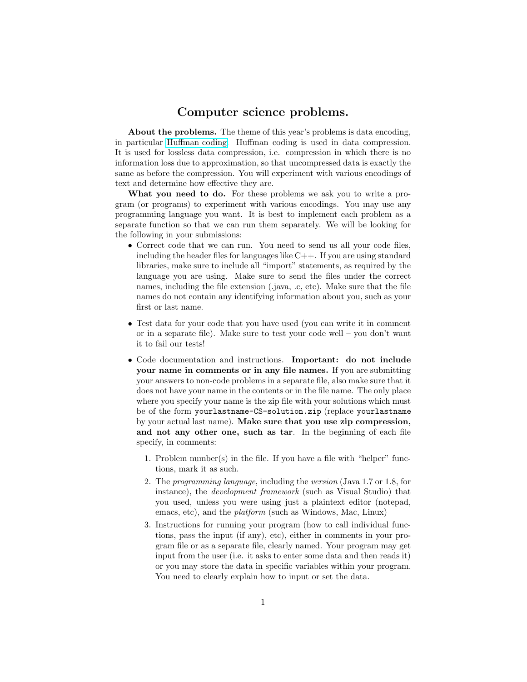## Computer science problems.

About the problems. The theme of this year's problems is data encoding, in particular [Huffman coding.](http://en.wikipedia.org/wiki/Huffman_coding) Huffman coding is used in data compression. It is used for lossless data compression, i.e. compression in which there is no information loss due to approximation, so that uncompressed data is exactly the same as before the compression. You will experiment with various encodings of text and determine how effective they are.

What you need to do. For these problems we ask you to write a program (or programs) to experiment with various encodings. You may use any programming language you want. It is best to implement each problem as a separate function so that we can run them separately. We will be looking for the following in your submissions:

- Correct code that we can run. You need to send us all your code files, including the header files for languages like  $C++$ . If you are using standard libraries, make sure to include all "import" statements, as required by the language you are using. Make sure to send the files under the correct names, including the file extension (.java, .c, etc). Make sure that the file names do not contain any identifying information about you, such as your first or last name.
- Test data for your code that you have used (you can write it in comment or in a separate file). Make sure to test your code well – you don't want it to fail our tests!
- Code documentation and instructions. Important: do not include your name in comments or in any file names. If you are submitting your answers to non-code problems in a separate file, also make sure that it does not have your name in the contents or in the file name. The only place where you specify your name is the zip file with your solutions which must be of the form yourlastname-CS-solution.zip (replace yourlastname by your actual last name). Make sure that you use zip compression, and not any other one, such as tar. In the beginning of each file specify, in comments:
	- 1. Problem number(s) in the file. If you have a file with "helper" functions, mark it as such.
	- 2. The programming language, including the version (Java 1.7 or 1.8, for instance), the development framework (such as Visual Studio) that you used, unless you were using just a plaintext editor (notepad, emacs, etc), and the platform (such as Windows, Mac, Linux)
	- 3. Instructions for running your program (how to call individual functions, pass the input (if any), etc), either in comments in your program file or as a separate file, clearly named. Your program may get input from the user (i.e. it asks to enter some data and then reads it) or you may store the data in specific variables within your program. You need to clearly explain how to input or set the data.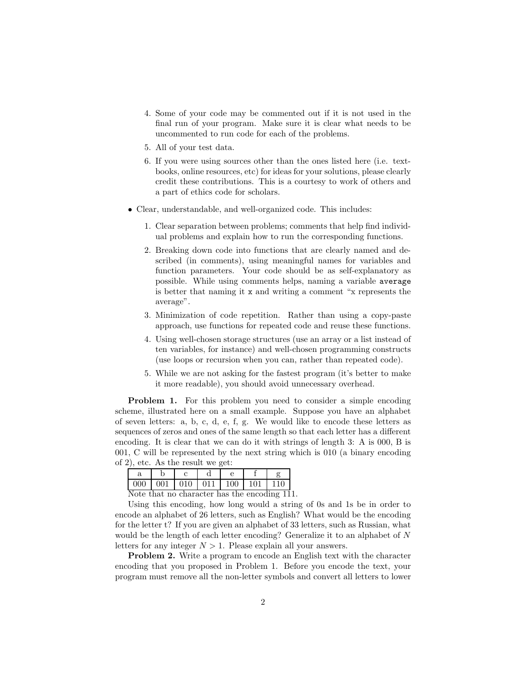- 4. Some of your code may be commented out if it is not used in the final run of your program. Make sure it is clear what needs to be uncommented to run code for each of the problems.
- 5. All of your test data.
- 6. If you were using sources other than the ones listed here (i.e. textbooks, online resources, etc) for ideas for your solutions, please clearly credit these contributions. This is a courtesy to work of others and a part of ethics code for scholars.
- Clear, understandable, and well-organized code. This includes:
	- 1. Clear separation between problems; comments that help find individual problems and explain how to run the corresponding functions.
	- 2. Breaking down code into functions that are clearly named and described (in comments), using meaningful names for variables and function parameters. Your code should be as self-explanatory as possible. While using comments helps, naming a variable average is better that naming it x and writing a comment "x represents the average".
	- 3. Minimization of code repetition. Rather than using a copy-paste approach, use functions for repeated code and reuse these functions.
	- 4. Using well-chosen storage structures (use an array or a list instead of ten variables, for instance) and well-chosen programming constructs (use loops or recursion when you can, rather than repeated code).
	- 5. While we are not asking for the fastest program (it's better to make it more readable), you should avoid unnecessary overhead.

Problem 1. For this problem you need to consider a simple encoding scheme, illustrated here on a small example. Suppose you have an alphabet of seven letters: a, b, c, d, e, f, g. We would like to encode these letters as sequences of zeros and ones of the same length so that each letter has a different encoding. It is clear that we can do it with strings of length 3: A is 000, B is 001, C will be represented by the next string which is 010 (a binary encoding of 2), etc. As the result we get:

|                                              |  |  |  |  |  | 000   001   010   011   100   101   110 |  |  |  |
|----------------------------------------------|--|--|--|--|--|-----------------------------------------|--|--|--|
| Note that no character has the encoding 111. |  |  |  |  |  |                                         |  |  |  |

Using this encoding, how long would a string of 0s and 1s be in order to encode an alphabet of 26 letters, such as English? What would be the encoding for the letter t? If you are given an alphabet of 33 letters, such as Russian, what would be the length of each letter encoding? Generalize it to an alphabet of N letters for any integer  $N > 1$ . Please explain all your answers.

Problem 2. Write a program to encode an English text with the character encoding that you proposed in Problem 1. Before you encode the text, your program must remove all the non-letter symbols and convert all letters to lower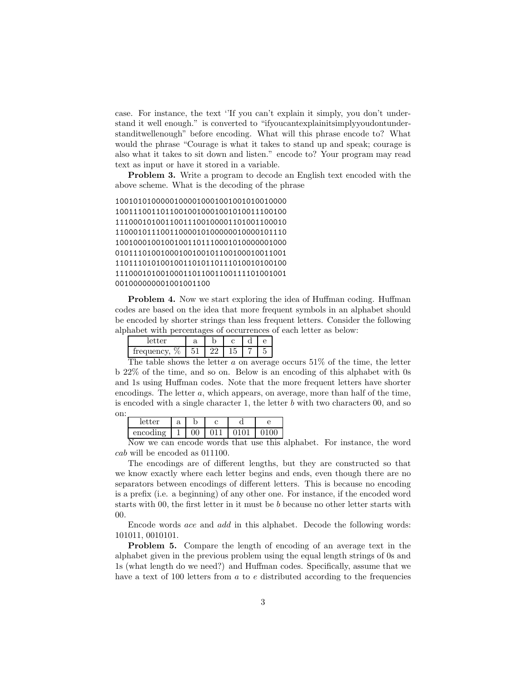case. For instance, the text ''If you can't explain it simply, you don't understand it well enough." is converted to "ifyoucantexplainitsimplyyoudontunderstanditwellenough" before encoding. What will this phrase encode to? What would the phrase "Courage is what it takes to stand up and speak; courage is also what it takes to sit down and listen." encode to? Your program may read text as input or have it stored in a variable.

Problem 3. Write a program to decode an English text encoded with the above scheme. What is the decoding of the phrase

10010101000001000010001001001010010000 10011100110110010010001001010011100100 11100010100110011100100001101001100010 11000101110011000010100000010000101110 10010001001001001101110001010000001000 01011101001000100100101100100010011001 11011101010010011010110111010010100100 11100010100100011011001100111101001001 001000000001001001100

**Problem 4.** Now we start exploring the idea of Huffman coding. Huffman codes are based on the idea that more frequent symbols in an alphabet should be encoded by shorter strings than less frequent letters. Consider the following alphabet with percentages of occurrences of each letter as below:

| $\sim$ mm $\sim$                            | α |   |   | ີ |  |
|---------------------------------------------|---|---|---|---|--|
| 07<br>v<br>$\sim$<br>$rac{1}{2}$<br>$\cdot$ |   | ഹ | v |   |  |

The table shows the letter  $a$  on average occurs 51% of the time, the letter b 22% of the time, and so on. Below is an encoding of this alphabet with 0s and 1s using Huffman codes. Note that the more frequent letters have shorter encodings. The letter  $a$ , which appears, on average, more than half of the time, is encoded with a single character 1, the letter  $b$  with two characters  $00$ , and so on:

| $\alpha$ r | $\Omega$<br>a |   | $\overline{\phantom{a}}$ |  |
|------------|---------------|---|--------------------------|--|
| encoding   |               | v |                          |  |
| <b>AT</b>  |               |   | ٠<br>. .                 |  |

Now we can encode words that use this alphabet. For instance, the word cab will be encoded as 011100.

The encodings are of different lengths, but they are constructed so that we know exactly where each letter begins and ends, even though there are no separators between encodings of different letters. This is because no encoding is a prefix (i.e. a beginning) of any other one. For instance, if the encoded word starts with 00, the first letter in it must be b because no other letter starts with 00.

Encode words ace and add in this alphabet. Decode the following words: 101011, 0010101.

Problem 5. Compare the length of encoding of an average text in the alphabet given in the previous problem using the equal length strings of 0s and 1s (what length do we need?) and Huffman codes. Specifically, assume that we have a text of 100 letters from  $a$  to  $e$  distributed according to the frequencies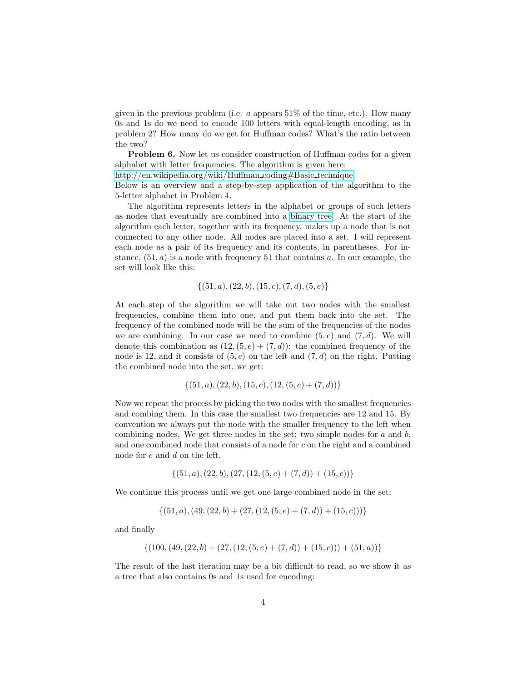given in the previous problem (i.e.  $a$  appears  $51\%$  of the time, etc.). How many 0s and 1s do we need to encode 100 letters with equal-length encoding, as in problem 2? How many do we get for Huffman codes? What's the ratio between the two?

Problem 6. Now let us consider construction of Huffman codes for a given alphabet with letter frequencies. The algorithm is given here:

[http://en.wikipedia.org/wiki/Huffman](http%3A%2F%2Fen.wikipedia.org%2Fwiki%2FHuffman_coding%23Basic_technique) coding#Basic technique.

Below is an overview and a step-by-step application of the algorithm to the 5-letter alphabet in Problem 4.

The algorithm represents letters in the alphabet or groups of such letters as nodes that eventually are combined into a [binary tree.](http://en.wikipedia.org/wiki/Binary_tree) At the start of the algorithm each letter, together with its frequency, makes up a node that is not connected to any other node. All nodes are placed into a set. I will represent each node as a pair of its frequency and its contents, in parentheses. For instance,  $(51, a)$  is a node with frequency 51 that contains a. In our example, the set will look like this:

$$
\{(51,a), (22,b), (15,c), (7,d), (5,e)\}
$$

At each step of the algorithm we will take out two nodes with the smallest frequencies, combine them into one, and put them back into the set. The frequency of the combined node will be the sum of the frequencies of the nodes we are combining. In our case we need to combine  $(5, e)$  and  $(7, d)$ . We will denote this combination as  $(12, (5, e) + (7, d))$ : the combined frequency of the node is 12, and it consists of  $(5, e)$  on the left and  $(7, d)$  on the right. Putting the combined node into the set, we get:

$$
\{(51,a), (22,b), (15,c), (12,(5,e) + (7,d))\}
$$

Now we repeat the process by picking the two nodes with the smallest frequencies and combing them. In this case the smallest two frequencies are 12 and 15. By convention we always put the node with the smaller frequency to the left when combining nodes. We get three nodes in the set: two simple nodes for  $a$  and  $b$ , and one combined node that consists of a node for c on the right and a combined node for e and d on the left.

$$
\{(51,a), (22,b), (27, (12, (5,e) + (7,d)) + (15,c))\}
$$

We continue this process until we get one large combined node in the set:

 $\{(51, a), (49, (22, b) + (27, (12, (5, e) + (7, d)) + (15, c)))\}$ 

and finally

$$
\{(100, (49, (22, b) + (27, (12, (5, e) + (7, d)) + (15, c))) + (51, a))\}
$$

The result of the last iteration may be a bit difficult to read, so we show it as a tree that also contains 0s and 1s used for encoding: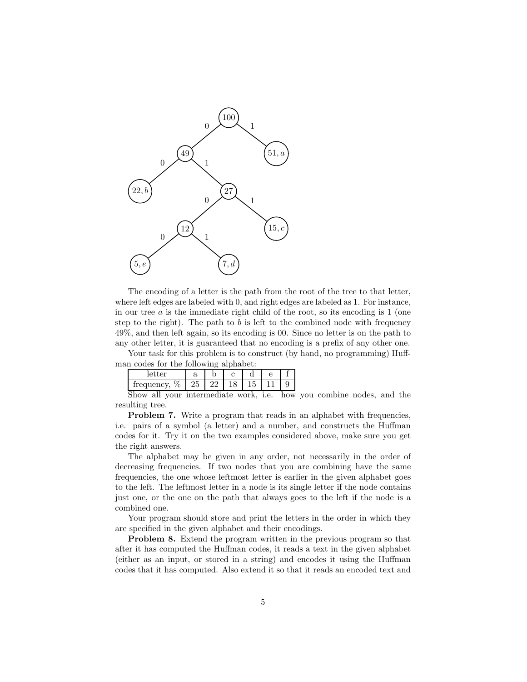

The encoding of a letter is the path from the root of the tree to that letter, where left edges are labeled with 0, and right edges are labeled as 1. For instance, in our tree  $a$  is the immediate right child of the root, so its encoding is  $1$  (one step to the right). The path to  $b$  is left to the combined node with frequency 49%, and then left again, so its encoding is 00. Since no letter is on the path to any other letter, it is guaranteed that no encoding is a prefix of any other one.

Your task for this problem is to construct (by hand, no programming) Huffman codes for the following alphabet:

| $\alpha r$<br>IС<br>v               | a  |  | $\overline{\phantom{a}}$ |  |
|-------------------------------------|----|--|--------------------------|--|
| -<br>╌<br>ache<br>◡<br>ч<br>$\cdot$ | ⊣ບ |  | ـــ<br>U                 |  |
|                                     |    |  |                          |  |

Show all your intermediate work, i.e. how you combine nodes, and the resulting tree.

**Problem 7.** Write a program that reads in an alphabet with frequencies, i.e. pairs of a symbol (a letter) and a number, and constructs the Huffman codes for it. Try it on the two examples considered above, make sure you get the right answers.

The alphabet may be given in any order, not necessarily in the order of decreasing frequencies. If two nodes that you are combining have the same frequencies, the one whose leftmost letter is earlier in the given alphabet goes to the left. The leftmost letter in a node is its single letter if the node contains just one, or the one on the path that always goes to the left if the node is a combined one.

Your program should store and print the letters in the order in which they are specified in the given alphabet and their encodings.

Problem 8. Extend the program written in the previous program so that after it has computed the Huffman codes, it reads a text in the given alphabet (either as an input, or stored in a string) and encodes it using the Huffman codes that it has computed. Also extend it so that it reads an encoded text and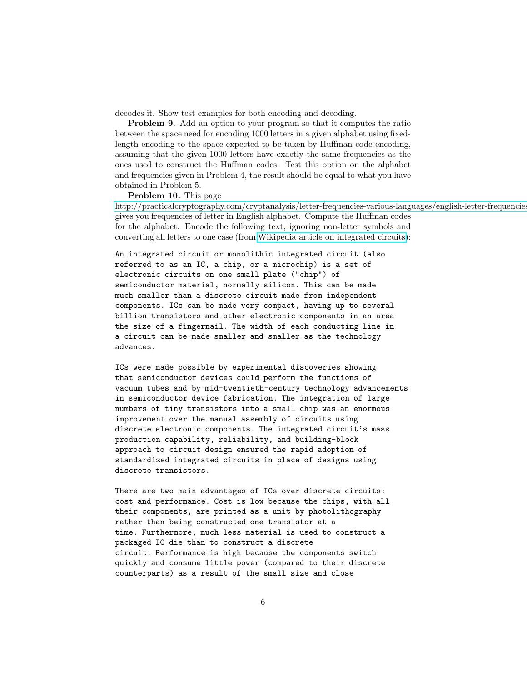decodes it. Show test examples for both encoding and decoding.

Problem 9. Add an option to your program so that it computes the ratio between the space need for encoding 1000 letters in a given alphabet using fixedlength encoding to the space expected to be taken by Huffman code encoding, assuming that the given 1000 letters have exactly the same frequencies as the ones used to construct the Huffman codes. Test this option on the alphabet and frequencies given in Problem 4, the result should be equal to what you have obtained in Problem 5.

Problem 10. This page

[http://practicalcryptography.com/cryptanalysis/letter-frequencies-various-languages/english-letter-frequencies](http://practicalcryptography.com/cryptanalysis/letter-frequencies-various-languages/english-letter-frequencies/) gives you frequencies of letter in English alphabet. Compute the Huffman codes for the alphabet. Encode the following text, ignoring non-letter symbols and converting all letters to one case (from [Wikipedia article on integrated circuits\)](http://en.wikipedia.org/wiki/Integrated_circuit):

An integrated circuit or monolithic integrated circuit (also referred to as an IC, a chip, or a microchip) is a set of electronic circuits on one small plate ("chip") of semiconductor material, normally silicon. This can be made much smaller than a discrete circuit made from independent components. ICs can be made very compact, having up to several billion transistors and other electronic components in an area the size of a fingernail. The width of each conducting line in a circuit can be made smaller and smaller as the technology advances.

ICs were made possible by experimental discoveries showing that semiconductor devices could perform the functions of vacuum tubes and by mid-twentieth-century technology advancements in semiconductor device fabrication. The integration of large numbers of tiny transistors into a small chip was an enormous improvement over the manual assembly of circuits using discrete electronic components. The integrated circuit's mass production capability, reliability, and building-block approach to circuit design ensured the rapid adoption of standardized integrated circuits in place of designs using discrete transistors.

There are two main advantages of ICs over discrete circuits: cost and performance. Cost is low because the chips, with all their components, are printed as a unit by photolithography rather than being constructed one transistor at a time. Furthermore, much less material is used to construct a packaged IC die than to construct a discrete circuit. Performance is high because the components switch quickly and consume little power (compared to their discrete counterparts) as a result of the small size and close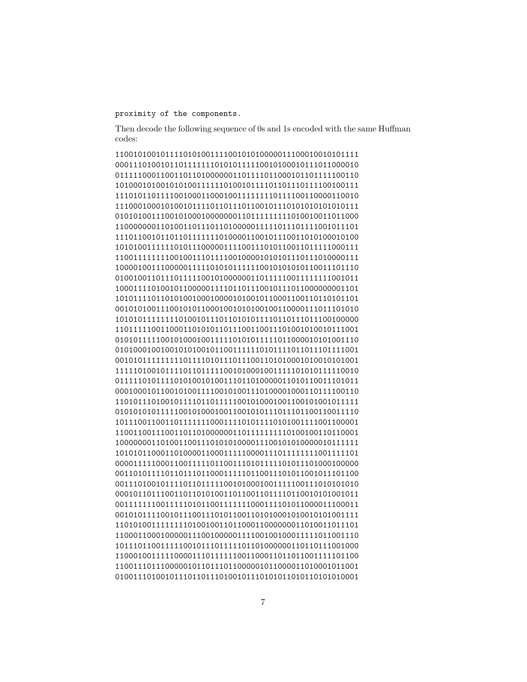## proximity of the components.

Then decode the following sequence of 0s and 1s encoded with the same Huffman codes: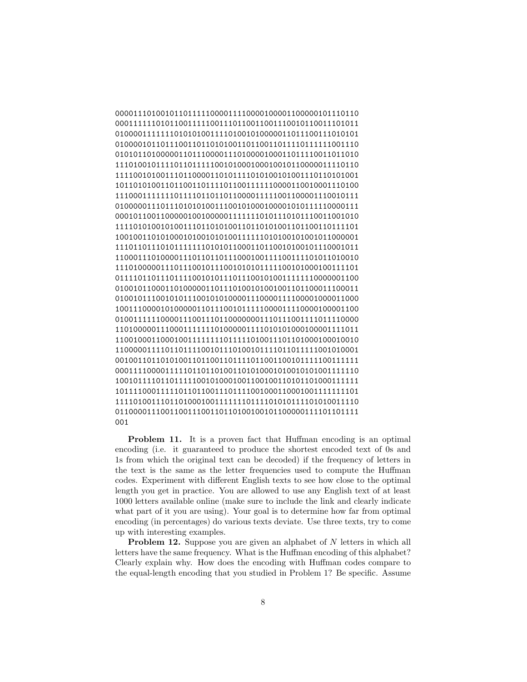```
000011101001011011111000011110000100001100000101110110
000111111010110011111001110110011001110010110011101011
010000111111101010100111101001010000011011100111010101
010000101101110011011010100110110011011110111111001110
010101101000001101110000111010000100011011110011011010
111010010111101101111100101000100010010110000011110110
111100101001110110000110101111010100101001110110101001
101101010011011001101111011001111110000110010001110100
111000111111101111011011011000011111001100001110010111
010000011101110101010011100101000100001010111110000111
000101100110000010010000011111110101110101110011001010
111101010010100111011010100110110101001101100110111101
100100110101000101001010100111111010100101001011000001
111011011101011111110101011000110110010100101110001011
110001110100001110110110111000100111100111101011010010
111010000011101110010111001010101111100101000100111101
011110110111011110010101110111001010011111110000001100
010010110001101000001101110100101001001101100011100011
010010111001010111001010100001110000111100001000011000
100111000010100000110111001011111000011110000100001100
010011111100001110011101100000001110111001111011110000
110100000111000111111101000001111010101000100001111011
110010001100010011111111011111010011101101000100010010
110000011110110111100101110100101111011011111001010001
001001101101010011011001101111011001100101111100111111
000111100001111101101101001101010001010010101001111110
100101111011011111001010001001100100110101101000111111
101111000111110110110011101111001000110001001111111101
111101001110110100010011111110111101010111101010011110
011000011100110011100110110100100101100000111101101111
001
```
Problem 11. It is a proven fact that Huffman encoding is an optimal encoding (i.e. it guaranteed to produce the shortest encoded text of 0s and 1s from which the original text can be decoded) if the frequency of letters in the text is the same as the letter frequencies used to compute the Huffman codes. Experiment with different English texts to see how close to the optimal length you get in practice. You are allowed to use any English text of at least 1000 letters available online (make sure to include the link and clearly indicate what part of it you are using). Your goal is to determine how far from optimal encoding (in percentages) do various texts deviate. Use three texts, try to come up with interesting examples.

**Problem 12.** Suppose you are given an alphabet of N letters in which all letters have the same frequency. What is the Huffman encoding of this alphabet? Clearly explain why. How does the encoding with Huffman codes compare to the equal-length encoding that you studied in Problem 1? Be specific. Assume